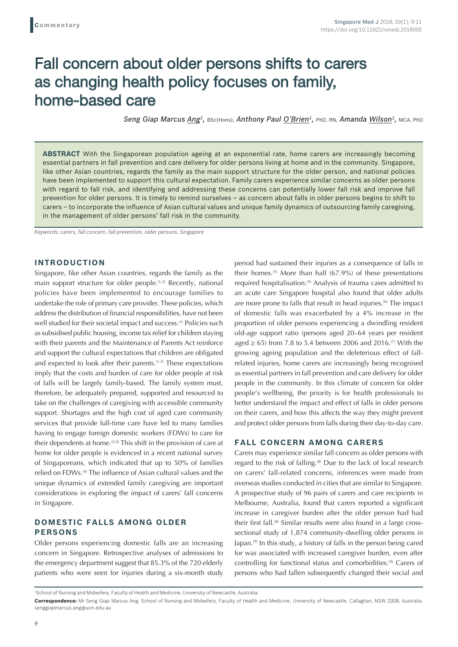# Fall concern about older persons shifts to carers as changing health policy focuses on family, home-based care

Seng Giap Marcus Ang<sup>1</sup>, BSc(Hons), Anthony Paul O'Brien<sup>1</sup>, PhD, RN, Amanda Wilson<sup>1</sup>, MCA, PhD

**ABSTRACT** With the Singaporean population ageing at an exponential rate, home carers are increasingly becoming essential partners in fall prevention and care delivery for older persons living at home and in the community. Singapore, like other Asian countries, regards the family as the main support structure for the older person, and national policies have been implemented to support this cultural expectation. Family carers experience similar concerns as older persons with regard to fall risk, and identifying and addressing these concerns can potentially lower fall risk and improve fall prevention for older persons. It is timely to remind ourselves – as concern about falls in older persons begins to shift to carers – to incorporate the influence of Asian cultural values and unique family dynamics of outsourcing family caregiving, in the management of older persons' fall risk in the community.

*Keywords: carers, fall concern, fall prevention, older persons, Singapore*

#### **INTRODUCTION**

Singapore, like other Asian countries, regards the family as the main support structure for older people.<sup>(1,2)</sup> Recently, national policies have been implemented to encourage families to undertake the role of primary care provider. These policies, which address the distribution of financial responsibilities, have not been well studied for their societal impact and success.<sup>(1)</sup> Policies such as subsidised public housing, income tax relief for children staying with their parents and the Maintenance of Parents Act reinforce and support the cultural expectations that children are obligated and expected to look after their parents.<sup>(1,3)</sup> These expectations imply that the costs and burden of care for older people at risk of falls will be largely family-based. The family system must, therefore, be adequately prepared, supported and resourced to take on the challenges of caregiving with accessible community support. Shortages and the high cost of aged care community services that provide full-time care have led to many families having to engage foreign domestic workers (FDWs) to care for their dependents at home.<sup>(2,4)</sup> This shift in the provision of care at home for older people is evidenced in a recent national survey of Singaporeans, which indicated that up to 50% of families relied on FDWs.<sup>(4)</sup> The influence of Asian cultural values and the unique dynamics of extended family caregiving are important considerations in exploring the impact of carers' fall concerns in Singapore.

## **DOMESTIC FALLS AMONG OLDER PERSONS**

Older persons experiencing domestic falls are an increasing concern in Singapore. Retrospective analyses of admissions to the emergency department suggest that 85.3% of the 720 elderly patients who were seen for injuries during a six-month study period had sustained their injuries as a consequence of falls in their homes.<sup> $(5)$ </sup> More than half  $(67.9%)$  of these presentations required hospitalisation.<sup>(5)</sup> Analysis of trauma cases admitted to an acute care Singapore hospital also found that older adults are more prone to falls that result in head injuries.(6) The impact of domestic falls was exacerbated by a 4% increase in the proportion of older persons experiencing a dwindling resident old-age support ratio (persons aged 20–64 years per resident aged  $\geq$  65) from 7.8 to 5.4 between 2006 and 2016.<sup>(7)</sup> With the growing ageing population and the deleterious effect of fallrelated injuries, home carers are increasingly being recognised as essential partners in fall prevention and care delivery for older people in the community. In this climate of concern for older people's wellbeing, the priority is for health professionals to better understand the impact and effect of falls in older persons on their carers, and how this affects the way they might prevent and protect older persons from falls during their day-to-day care.

#### **FALL CONCERN AMONG CARERS**

Carers may experience similar fall concern as older persons with regard to the risk of falling.<sup>(8)</sup> Due to the lack of local research on carers' fall-related concerns, inferences were made from overseas studies conducted in cities that are similar to Singapore. A prospective study of 96 pairs of carers and care recipients in Melbourne, Australia, found that carers reported a significant increase in caregiver burden after the older person had had their first fall.<sup>(8)</sup> Similar results were also found in a large crosssectional study of 1,874 community-dwelling older persons in Japan.(9) In this study, a history of falls in the person being cared for was associated with increased caregiver burden, even after controlling for functional status and comorbidities.<sup>(9)</sup> Carers of persons who had fallen subsequently changed their social and

<sup>1</sup> School of Nursing and Midwifery, Faculty of Health and Medicine, University of Newcastle, Australia

**Correspondence:** Mr Seng Giap Marcus Ang, School of Nursing and Midwifery, Faculty of Health and Medicine, University of Newcastle, Callaghan, NSW 2308, Australia. senggiapmarcus.ang@uon.edu.au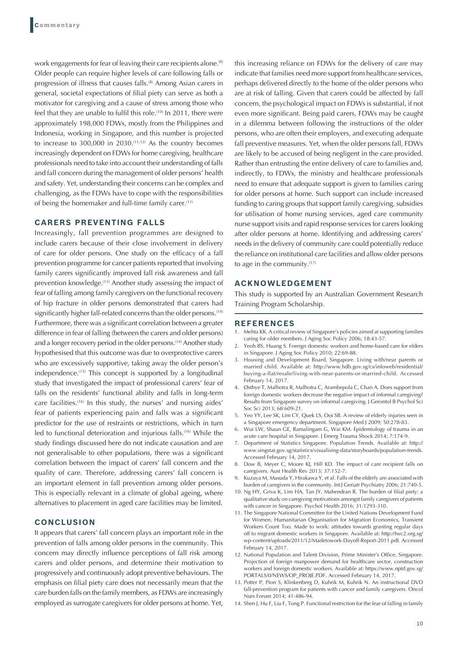work engagements for fear of leaving their care recipients alone.<sup>(8)</sup> Older people can require higher levels of care following falls or progression of illness that causes falls.<sup>(8)</sup> Among Asian carers in general, societal expectations of filial piety can serve as both a motivator for caregiving and a cause of stress among those who feel that they are unable to fulfil this role.<sup>(10)</sup> In 2011, there were approximately 198,000 FDWs, mostly from the Philippines and Indonesia, working in Singapore, and this number is projected to increase to 300,000 in 2030.<sup>(11,12)</sup> As the country becomes increasingly dependent on FDWs for home caregiving, healthcare professionals need to take into account their understanding of falls and fall concern during the management of older persons' health and safety. Yet, understanding their concerns can be complex and challenging, as the FDWs have to cope with the responsibilities of being the homemaker and full-time family carer.<sup>(11)</sup>

# **CARERS PREVENTING FALLS**

Increasingly, fall prevention programmes are designed to include carers because of their close involvement in delivery of care for older persons. One study on the efficacy of a fall prevention programme for cancer patients reported that involving family carers significantly improved fall risk awareness and fall prevention knowledge.<sup>(13)</sup> Another study assessing the impact of fear of falling among family caregivers on the functional recovery of hip fracture in older persons demonstrated that carers had significantly higher fall-related concerns than the older persons.<sup>(14)</sup> Furthermore, there was a significant correlation between a greater difference in fear of falling (between the carers and older persons) and a longer recovery period in the older persons.<sup>(14)</sup> Another study hypothesised that this outcome was due to overprotective carers who are excessively supportive, taking away the older person's independence.(15) This concept is supported by a longitudinal study that investigated the impact of professional carers' fear of falls on the residents' functional ability and falls in long-term care facilities.(16) In this study, the nurses' and nursing aides' fear of patients experiencing pain and falls was a significant predictor for the use of restraints or restrictions, which in turn led to functional deterioration and injurious falls.<sup>(16)</sup> While the study findings discussed here do not indicate causation and are not generalisable to other populations, there was a significant correlation between the impact of carers' fall concern and the quality of care. Therefore, addressing carers' fall concern is an important element in fall prevention among older persons. This is especially relevant in a climate of global ageing, where alternatives to placement in aged care facilities may be limited.

## **CONCLUSION**

It appears that carers' fall concern plays an important role in the prevention of falls among older persons in the community. This concern may directly influence perceptions of fall risk among carers and older persons, and determine their motivation to progressively and continuously adopt preventive behaviours. The emphasis on filial piety care does not necessarily mean that the care burden falls on the family members, as FDWs are increasingly employed as surrogate caregivers for older persons at home. Yet, this increasing reliance on FDWs for the delivery of care may indicate that families need more support from healthcare services, perhaps delivered directly to the home of the older persons who are at risk of falling. Given that carers could be affected by fall concern, the psychological impact on FDWs is substantial, if not even more significant. Being paid carers, FDWs may be caught in a dilemma between following the instructions of the older persons, who are often their employers, and executing adequate fall preventive measures. Yet, when the older persons fall, FDWs are likely to be accused of being negligent in the care provided. Rather than entrusting the entire delivery of care to families and, indirectly, to FDWs, the ministry and healthcare professionals need to ensure that adequate support is given to families caring for older persons at home. Such support can include increased funding to caring groups that support family caregiving, subsidies for utilisation of home nursing services, aged care community nurse support visits and rapid response services for carers looking after older persons at home. Identifying and addressing carers' needs in the delivery of community care could potentially reduce the reliance on institutional care facilities and allow older persons to age in the community.(17)

#### **ACKNOWLEDGEMENT**

This study is supported by an Australian Government Research Training Program Scholarship.

#### **REFERENCES**

- 1. Mehta KK. A critical review of Singapore's policies aimed at supporting families caring for older members. J Aging Soc Policy 2006; 18:43-57.
- 2. Yeoh BS, Huang S. Foreign domestic workers and home-based care for elders in Singapore. J Aging Soc Policy 2010; 22:69-88.
- Housing and Development Board, Singapore. Living with/near parents or married child. Available at: http://www.hdb.gov.sg/cs/infoweb/residential/ buying-a-flat/resale/living-with-near-parents-or-married-child. Accessed February 14, 2017.
- 4. Østbye T, Malhotra R, Malhotra C, Arambepola C, Chan A. Does support from foreign domestic workers decrease the negative impact of informal caregiving? Results from Singapore survey on informal caregiving. J Gerontol B Psychol Sci Soc Sci 2013; 68:609-21.
- 5. Yeo YY, Lee SK, Lim CY, Quek LS, Ooi SB. A review of elderly injuries seen in a Singapore emergency department. Singapore Med J 2009; 50:278-83.
- 6. Wui LW, Shaun GE, Ramalingam G, Wai KM. Epidemiology of trauma in an acute care hospital in Singapore. J Emerg Trauma Shock 2014; 7:174-9.
- 7. Department of Statistics Singapore. Population Trends. Available at: http:// www.singstat.gov.sg/statistics/visualising-data/storyboards/population-trends. Accessed February 14, 2017.
- 8. Dow B, Meyer C, Moore KJ, Hill KD. The impact of care recipient falls on caregivers. Aust Health Rev 2013; 37:152-7.
- 9. Kuzuya M, Masuda Y, Hirakawa Y, et al. Falls of the elderly are associated with burden of caregivers in the community. Int J Geriatr Psychiatry 2006; 21:740-5.
- 10. Ng HY, Griva K, Lim HA, Tan JY, Mahendran R. The burden of filial piety: a qualitative study on caregiving motivations amongst family caregivers of patients with cancer in Singapore. Psychol Health 2016; 31:1293-310.
- 11. The Singapore National Committee for the United Nations Development Fund for Women, Humanitarian Organisation for Migration Economics, Transient Workers Count Too. Made to work: attitudes towards granting regular days off to migrant domestic workers in Singapore. Available at: http://twc2.org.sg/ wp-content/uploads/2011/12/Madetowork-Dayoff-Report-2011.pdf. Accessed February 14, 2017.
- 12. National Population and Talent Division, Prime Minister's Office, Singapore. Projection of foreign manpower demand for healthcare sector, construction workers and foreign domestic workers. Available at: https://www.nptd.gov.sg/ PORTALS/0/NEWS/OP\_PROJE.PDF. Accessed February 14, 2017.
- 13. Potter P, Pion S, Klinkenberg D, Kuhrik M, Kuhrik N. An instructional DVD fall-prevention program for patients with cancer and family caregivers. Oncol Nurs Forum 2014; 41:486-94.
- 14. Shen J, Hu F, Liu F, Tong P. Functional restriction for the fear of falling in family